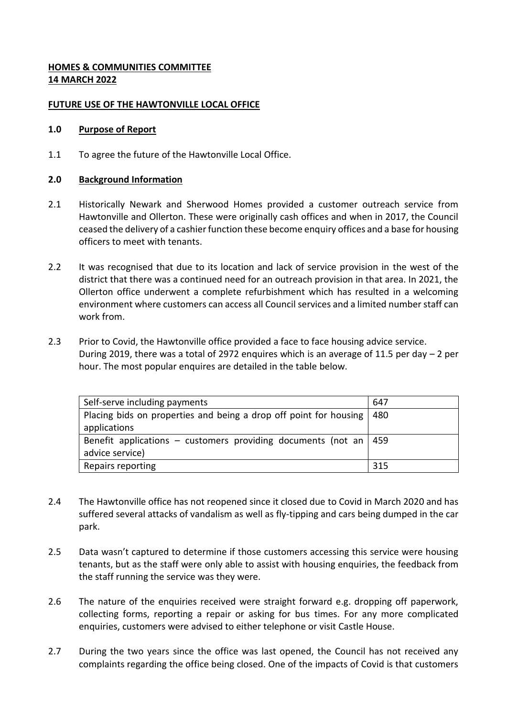# **HOMES & COMMUNITIES COMMITTEE 14 MARCH 2022**

### **FUTURE USE OF THE HAWTONVILLE LOCAL OFFICE**

#### **1.0 Purpose of Report**

1.1 To agree the future of the Hawtonville Local Office.

### **2.0 Background Information**

- 2.1 Historically Newark and Sherwood Homes provided a customer outreach service from Hawtonville and Ollerton. These were originally cash offices and when in 2017, the Council ceased the delivery of a cashier function these become enquiry offices and a base for housing officers to meet with tenants.
- 2.2 It was recognised that due to its location and lack of service provision in the west of the district that there was a continued need for an outreach provision in that area. In 2021, the Ollerton office underwent a complete refurbishment which has resulted in a welcoming environment where customers can access all Council services and a limited number staff can work from.
- 2.3 Prior to Covid, the Hawtonville office provided a face to face housing advice service. During 2019, there was a total of 2972 enquires which is an average of 11.5 per day – 2 per hour. The most popular enquires are detailed in the table below.

| Self-serve including payments                                        | 647 |
|----------------------------------------------------------------------|-----|
| Placing bids on properties and being a drop off point for housing    | 480 |
| applications                                                         |     |
| Benefit applications – customers providing documents (not an $ $ 459 |     |
| advice service)                                                      |     |
| Repairs reporting                                                    | 315 |

- 2.4 The Hawtonville office has not reopened since it closed due to Covid in March 2020 and has suffered several attacks of vandalism as well as fly-tipping and cars being dumped in the car park.
- 2.5 Data wasn't captured to determine if those customers accessing this service were housing tenants, but as the staff were only able to assist with housing enquiries, the feedback from the staff running the service was they were.
- 2.6 The nature of the enquiries received were straight forward e.g. dropping off paperwork, collecting forms, reporting a repair or asking for bus times. For any more complicated enquiries, customers were advised to either telephone or visit Castle House.
- 2.7 During the two years since the office was last opened, the Council has not received any complaints regarding the office being closed. One of the impacts of Covid is that customers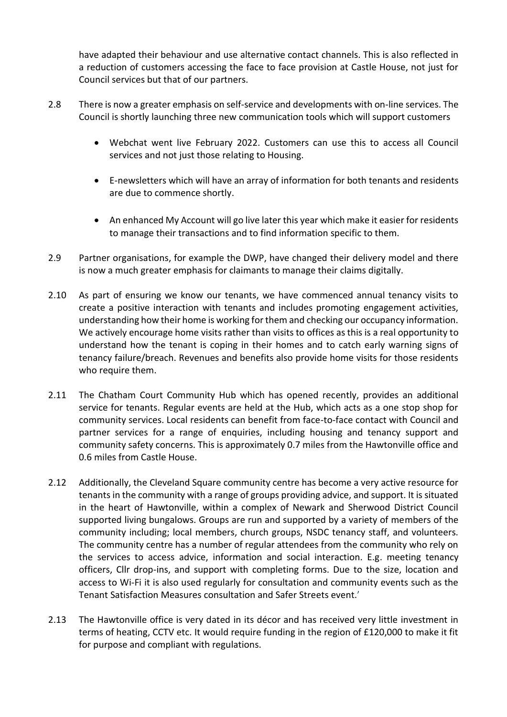have adapted their behaviour and use alternative contact channels. This is also reflected in a reduction of customers accessing the face to face provision at Castle House, not just for Council services but that of our partners.

- 2.8 There is now a greater emphasis on self-service and developments with on-line services. The Council is shortly launching three new communication tools which will support customers
	- Webchat went live February 2022. Customers can use this to access all Council services and not just those relating to Housing.
	- E-newsletters which will have an array of information for both tenants and residents are due to commence shortly.
	- An enhanced My Account will go live later this year which make it easier for residents to manage their transactions and to find information specific to them.
- 2.9 Partner organisations, for example the DWP, have changed their delivery model and there is now a much greater emphasis for claimants to manage their claims digitally.
- 2.10 As part of ensuring we know our tenants, we have commenced annual tenancy visits to create a positive interaction with tenants and includes promoting engagement activities, understanding how their home is working for them and checking our occupancy information. We actively encourage home visits rather than visits to offices as this is a real opportunity to understand how the tenant is coping in their homes and to catch early warning signs of tenancy failure/breach. Revenues and benefits also provide home visits for those residents who require them.
- 2.11 The Chatham Court Community Hub which has opened recently, provides an additional service for tenants. Regular events are held at the Hub, which acts as a one stop shop for community services. Local residents can benefit from face-to-face contact with Council and partner services for a range of enquiries, including housing and tenancy support and community safety concerns. This is approximately 0.7 miles from the Hawtonville office and 0.6 miles from Castle House.
- 2.12 Additionally, the Cleveland Square community centre has become a very active resource for tenants in the community with a range of groups providing advice, and support. It is situated in the heart of Hawtonville, within a complex of Newark and Sherwood District Council supported living bungalows. Groups are run and supported by a variety of members of the community including; local members, church groups, NSDC tenancy staff, and volunteers. The community centre has a number of regular attendees from the community who rely on the services to access advice, information and social interaction. E.g. meeting tenancy officers, Cllr drop-ins, and support with completing forms. Due to the size, location and access to Wi-Fi it is also used regularly for consultation and community events such as the Tenant Satisfaction Measures consultation and Safer Streets event.'
- 2.13 The Hawtonville office is very dated in its décor and has received very little investment in terms of heating, CCTV etc. It would require funding in the region of £120,000 to make it fit for purpose and compliant with regulations.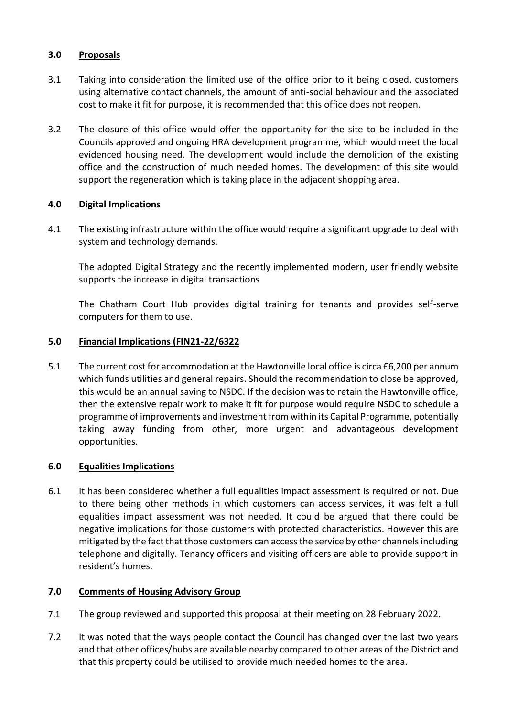## **3.0 Proposals**

- 3.1 Taking into consideration the limited use of the office prior to it being closed, customers using alternative contact channels, the amount of anti-social behaviour and the associated cost to make it fit for purpose, it is recommended that this office does not reopen.
- 3.2 The closure of this office would offer the opportunity for the site to be included in the Councils approved and ongoing HRA development programme, which would meet the local evidenced housing need. The development would include the demolition of the existing office and the construction of much needed homes. The development of this site would support the regeneration which is taking place in the adjacent shopping area.

# **4.0 Digital Implications**

4.1 The existing infrastructure within the office would require a significant upgrade to deal with system and technology demands.

The adopted Digital Strategy and the recently implemented modern, user friendly website supports the increase in digital transactions

The Chatham Court Hub provides digital training for tenants and provides self-serve computers for them to use.

# **5.0 Financial Implications (FIN21-22/6322**

5.1 The current cost for accommodation at the Hawtonville local office is circa £6,200 per annum which funds utilities and general repairs. Should the recommendation to close be approved, this would be an annual saving to NSDC. If the decision was to retain the Hawtonville office, then the extensive repair work to make it fit for purpose would require NSDC to schedule a programme of improvements and investment from within its Capital Programme, potentially taking away funding from other, more urgent and advantageous development opportunities.

## **6.0 Equalities Implications**

6.1 It has been considered whether a full equalities impact assessment is required or not. Due to there being other methods in which customers can access services, it was felt a full equalities impact assessment was not needed. It could be argued that there could be negative implications for those customers with protected characteristics. However this are mitigated by the fact that those customers can access the service by other channels including telephone and digitally. Tenancy officers and visiting officers are able to provide support in resident's homes.

### **7.0 Comments of Housing Advisory Group**

- 7.1 The group reviewed and supported this proposal at their meeting on 28 February 2022.
- 7.2 It was noted that the ways people contact the Council has changed over the last two years and that other offices/hubs are available nearby compared to other areas of the District and that this property could be utilised to provide much needed homes to the area.